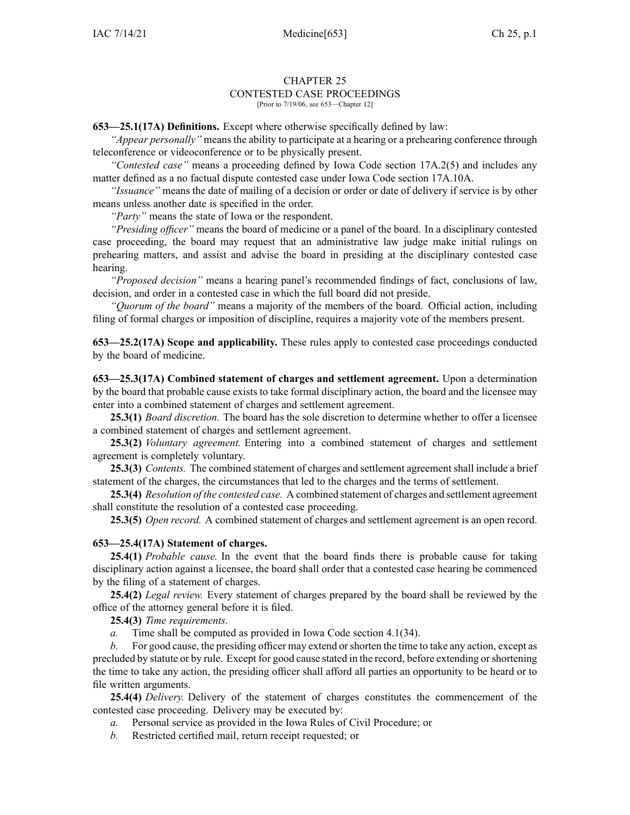#### CHAPTER 25 CONTESTED CASE PROCEEDINGS [Prior to 7/19/06, see 653—Chapter 12]

**653—25.1(17A) Definitions.** Except where otherwise specifically defined by law:

*"Appear personally"* means the ability to participate at <sup>a</sup> hearing or <sup>a</sup> prehearing conference through teleconference or videoconference or to be physically present.

*"Contested case"* means <sup>a</sup> proceeding defined by Iowa Code section [17A.2\(5\)](https://www.legis.iowa.gov/docs/ico/section/17A.2.pdf) and includes any matter defined as <sup>a</sup> no factual dispute contested case under Iowa Code section [17A.10A](https://www.legis.iowa.gov/docs/ico/section/17A.10A.pdf).

*"Issuance"* means the date of mailing of <sup>a</sup> decision or order or date of delivery if service is by other means unless another date is specified in the order.

*"Party"* means the state of Iowa or the respondent.

*"Presiding officer"* means the board of medicine or <sup>a</sup> panel of the board. In <sup>a</sup> disciplinary contested case proceeding, the board may reques<sup>t</sup> that an administrative law judge make initial rulings on prehearing matters, and assist and advise the board in presiding at the disciplinary contested case hearing.

*"Proposed decision"* means <sup>a</sup> hearing panel's recommended findings of fact, conclusions of law, decision, and order in <sup>a</sup> contested case in which the full board did not preside.

*"Quorum of the board"* means <sup>a</sup> majority of the members of the board. Official action, including filing of formal charges or imposition of discipline, requires <sup>a</sup> majority vote of the members present.

**653—25.2(17A) Scope and applicability.** These rules apply to contested case proceedings conducted by the board of medicine.

**653—25.3(17A) Combined statement of charges and settlement agreement.** Upon <sup>a</sup> determination by the board that probable cause exists to take formal disciplinary action, the board and the licensee may enter into <sup>a</sup> combined statement of charges and settlement agreement.

**25.3(1)** *Board discretion.* The board has the sole discretion to determine whether to offer <sup>a</sup> licensee <sup>a</sup> combined statement of charges and settlement agreement.

**25.3(2)** *Voluntary agreement.* Entering into <sup>a</sup> combined statement of charges and settlement agreemen<sup>t</sup> is completely voluntary.

**25.3(3)** *Contents.* The combined statement of charges and settlement agreemen<sup>t</sup> shall include <sup>a</sup> brief statement of the charges, the circumstances that led to the charges and the terms of settlement.

**25.3(4)** *Resolution of the contested case.* A combined statement of charges and settlement agreemen<sup>t</sup> shall constitute the resolution of <sup>a</sup> contested case proceeding.

**25.3(5)** *Open record.* A combined statement of charges and settlement agreemen<sup>t</sup> is an open record.

## **653—25.4(17A) Statement of charges.**

**25.4(1)** *Probable cause.* In the event that the board finds there is probable cause for taking disciplinary action against <sup>a</sup> licensee, the board shall order that <sup>a</sup> contested case hearing be commenced by the filing of <sup>a</sup> statement of charges.

**25.4(2)** *Legal review.* Every statement of charges prepared by the board shall be reviewed by the office of the attorney general before it is filed.

**25.4(3)** *Time requirements.*

*a.* Time shall be computed as provided in Iowa Code section [4.1\(34\)](https://www.legis.iowa.gov/docs/ico/section/4.1.pdf).

*b.* For good cause, the presiding officer may extend orshorten the time to take any action, excep<sup>t</sup> as precluded by statute or by rule. Except for good cause stated in the record, before extending orshortening the time to take any action, the presiding officer shall afford all parties an opportunity to be heard or to file written arguments.

**25.4(4)** *Delivery.* Delivery of the statement of charges constitutes the commencement of the contested case proceeding. Delivery may be executed by:

- *a.* Personal service as provided in the Iowa Rules of Civil Procedure; or
- *b.* Restricted certified mail, return receipt requested; or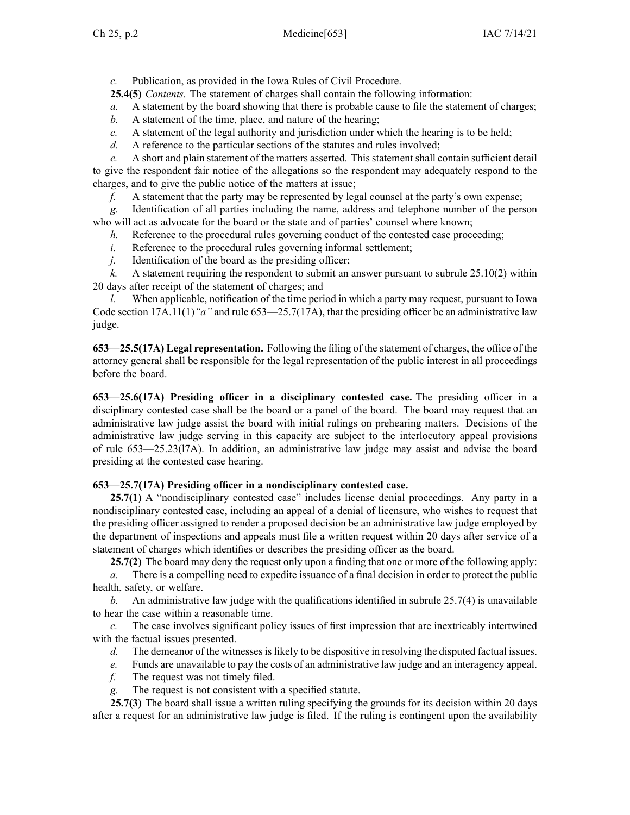*c.* Publication, as provided in the Iowa Rules of Civil Procedure.

**25.4(5)** *Contents.* The statement of charges shall contain the following information:

*a.* A statement by the board showing that there is probable cause to file the statement of charges;

- *b.* A statement of the time, place, and nature of the hearing;
- *c.* A statement of the legal authority and jurisdiction under which the hearing is to be held;
- *d.* A reference to the particular sections of the statutes and rules involved;

*e.* A short and plain statement of the matters asserted. This statement shall contain sufficient detail to give the respondent fair notice of the allegations so the respondent may adequately respond to the charges, and to give the public notice of the matters at issue;

*f.* A statement that the party may be represented by legal counsel at the party's own expense;

*g.* Identification of all parties including the name, address and telephone number of the person who will act as advocate for the board or the state and of parties' counsel where known;

*h.* Reference to the procedural rules governing conduct of the contested case proceeding;

*i.* Reference to the procedural rules governing informal settlement;

*j.* Identification of the board as the presiding officer;

*k.* A statement requiring the respondent to submit an answer pursuan<sup>t</sup> to subrule [25.10\(2\)](https://www.legis.iowa.gov/docs/iac/rule/653.25.10.pdf) within 20 days after receipt of the statement of charges; and

*l.* When applicable, notification of the time period in which <sup>a</sup> party may request, pursuan<sup>t</sup> to Iowa Code section [17A.11\(1\)](https://www.legis.iowa.gov/docs/ico/section/17A.11.pdf)*"a"* and rule [653—25.7](https://www.legis.iowa.gov/docs/iac/rule/653.25.7.pdf)(17A), that the presiding officer be an administrative law judge.

**653—25.5(17A) Legal representation.** Following the filing of the statement of charges, the office of the attorney general shall be responsible for the legal representation of the public interest in all proceedings before the board.

**653—25.6(17A) Presiding officer in <sup>a</sup> disciplinary contested case.** The presiding officer in <sup>a</sup> disciplinary contested case shall be the board or <sup>a</sup> panel of the board. The board may reques<sup>t</sup> that an administrative law judge assist the board with initial rulings on prehearing matters. Decisions of the administrative law judge serving in this capacity are subject to the interlocutory appeal provisions of rule [653—25.23](https://www.legis.iowa.gov/docs/iac/rule/653.25.23.pdf)(l7A). In addition, an administrative law judge may assist and advise the board presiding at the contested case hearing.

# **653—25.7(17A) Presiding officer in <sup>a</sup> nondisciplinary contested case.**

**25.7(1)** A "nondisciplinary contested case" includes license denial proceedings. Any party in <sup>a</sup> nondisciplinary contested case, including an appeal of <sup>a</sup> denial of licensure, who wishes to reques<sup>t</sup> that the presiding officer assigned to render <sup>a</sup> proposed decision be an administrative law judge employed by the department of inspections and appeals must file <sup>a</sup> written reques<sup>t</sup> within 20 days after service of <sup>a</sup> statement of charges which identifies or describes the presiding officer as the board.

**25.7(2)** The board may deny the reques<sup>t</sup> only upon <sup>a</sup> finding that one or more of the following apply:

*a.* There is <sup>a</sup> compelling need to expedite issuance of <sup>a</sup> final decision in order to protect the public health, safety, or welfare.

*b.* An administrative law judge with the qualifications identified in subrule [25.7\(4\)](https://www.legis.iowa.gov/docs/iac/rule/653.25.7.pdf) is unavailable to hear the case within <sup>a</sup> reasonable time.

*c.* The case involves significant policy issues of first impression that are inextricably intertwined with the factual issues presented.

- *d.* The demeanor of the witnesses is likely to be dispositive in resolving the disputed factual issues.
- *e.* Funds are unavailable to pay the costs of an administrative law judge and an interagency appeal.
- *f.* The reques<sup>t</sup> was not timely filed.
- *g.* The reques<sup>t</sup> is not consistent with <sup>a</sup> specified statute.

**25.7(3)** The board shall issue <sup>a</sup> written ruling specifying the grounds for its decision within 20 days after <sup>a</sup> reques<sup>t</sup> for an administrative law judge is filed. If the ruling is contingent upon the availability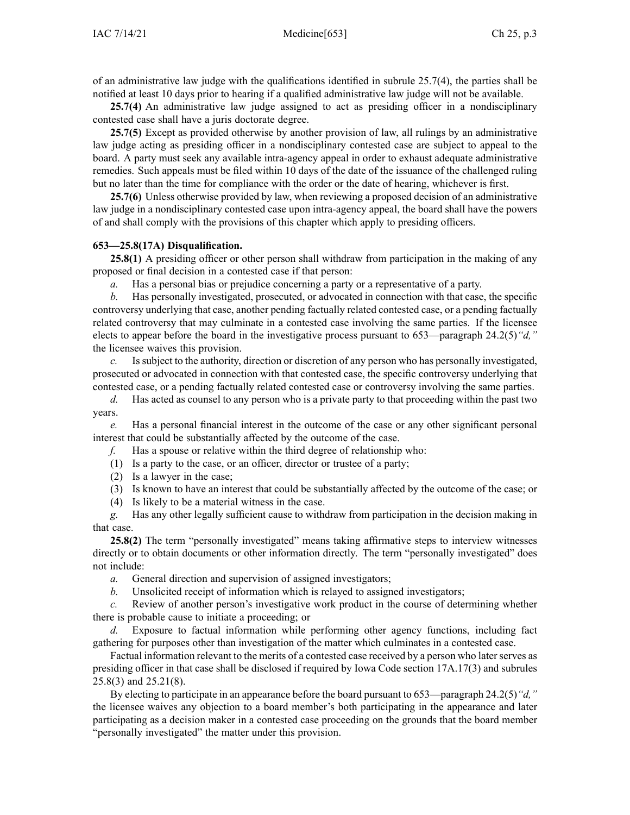of an administrative law judge with the qualifications identified in subrule [25.7\(4\)](https://www.legis.iowa.gov/docs/iac/rule/653.25.7.pdf), the parties shall be notified at least 10 days prior to hearing if <sup>a</sup> qualified administrative law judge will not be available.

**25.7(4)** An administrative law judge assigned to act as presiding officer in <sup>a</sup> nondisciplinary contested case shall have <sup>a</sup> juris doctorate degree.

**25.7(5)** Except as provided otherwise by another provision of law, all rulings by an administrative law judge acting as presiding officer in <sup>a</sup> nondisciplinary contested case are subject to appeal to the board. A party must seek any available intra-agency appeal in order to exhaust adequate administrative remedies. Such appeals must be filed within 10 days of the date of the issuance of the challenged ruling but no later than the time for compliance with the order or the date of hearing, whichever is first.

**25.7(6)** Unless otherwise provided by law, when reviewing <sup>a</sup> proposed decision of an administrative law judge in <sup>a</sup> nondisciplinary contested case upon intra-agency appeal, the board shall have the powers of and shall comply with the provisions of this chapter which apply to presiding officers.

## **653—25.8(17A) Disqualification.**

**25.8(1)** A presiding officer or other person shall withdraw from participation in the making of any proposed or final decision in <sup>a</sup> contested case if that person:

*a.* Has <sup>a</sup> personal bias or prejudice concerning <sup>a</sup> party or <sup>a</sup> representative of <sup>a</sup> party.

*b.* Has personally investigated, prosecuted, or advocated in connection with that case, the specific controversy underlying that case, another pending factually related contested case, or <sup>a</sup> pending factually related controversy that may culminate in <sup>a</sup> contested case involving the same parties. If the licensee elects to appear before the board in the investigative process pursuan<sup>t</sup> to 653—paragraph [24.2\(5\)](https://www.legis.iowa.gov/docs/iac/rule/653.24.2.pdf)*"d,"* the licensee waives this provision.

*c.* Issubject to the authority, direction or discretion of any person who has personally investigated, prosecuted or advocated in connection with that contested case, the specific controversy underlying that contested case, or <sup>a</sup> pending factually related contested case or controversy involving the same parties.

*d.* Has acted as counsel to any person who is <sup>a</sup> private party to that proceeding within the pas<sup>t</sup> two years.

*e.* Has <sup>a</sup> personal financial interest in the outcome of the case or any other significant personal interest that could be substantially affected by the outcome of the case.

*f.* Has <sup>a</sup> spouse or relative within the third degree of relationship who:

(1) Is <sup>a</sup> party to the case, or an officer, director or trustee of <sup>a</sup> party;

- (2) Is <sup>a</sup> lawyer in the case;
- (3) Is known to have an interest that could be substantially affected by the outcome of the case; or
- (4) Is likely to be <sup>a</sup> material witness in the case.

*g.* Has any other legally sufficient cause to withdraw from participation in the decision making in that case.

**25.8(2)** The term "personally investigated" means taking affirmative steps to interview witnesses directly or to obtain documents or other information directly. The term "personally investigated" does not include:

*a.* General direction and supervision of assigned investigators;

*b.* Unsolicited receipt of information which is relayed to assigned investigators;

*c.* Review of another person's investigative work product in the course of determining whether there is probable cause to initiate <sup>a</sup> proceeding; or

*d.* Exposure to factual information while performing other agency functions, including fact gathering for purposes other than investigation of the matter which culminates in <sup>a</sup> contested case.

Factual information relevant to the merits of <sup>a</sup> contested case received by <sup>a</sup> person who laterserves as presiding officer in that case shall be disclosed if required by Iowa Code section [17A.17\(3\)](https://www.legis.iowa.gov/docs/ico/section/17A.17.pdf) and subrules [25.8\(3\)](https://www.legis.iowa.gov/docs/iac/rule/653.25.8.pdf) and [25.21\(8\)](https://www.legis.iowa.gov/docs/iac/rule/653.25.21.pdf).

By electing to participate in an appearance before the board pursuan<sup>t</sup> to 653—paragraph [24.2\(5\)](https://www.legis.iowa.gov/docs/iac/rule/653.24.2.pdf)*"d,"* the licensee waives any objection to <sup>a</sup> board member's both participating in the appearance and later participating as <sup>a</sup> decision maker in <sup>a</sup> contested case proceeding on the grounds that the board member "personally investigated" the matter under this provision.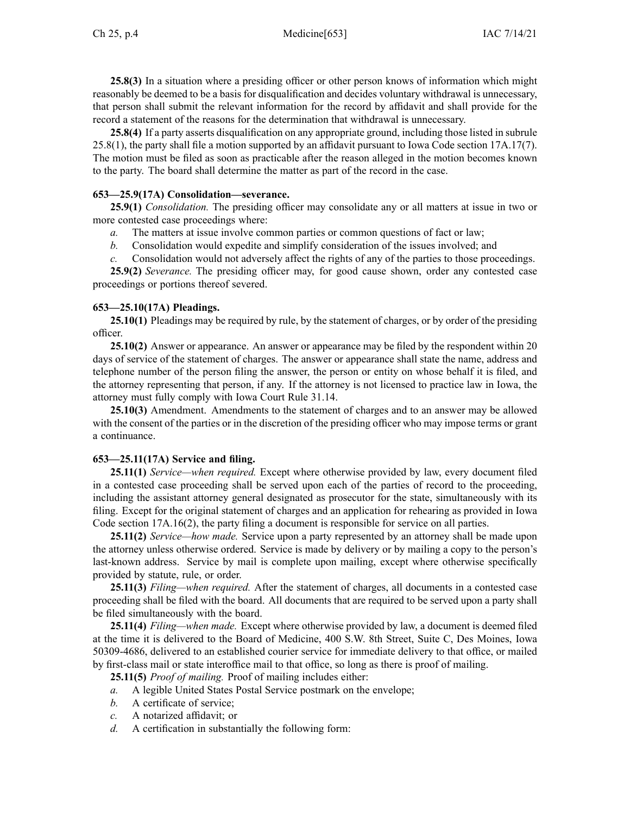**25.8(3)** In <sup>a</sup> situation where <sup>a</sup> presiding officer or other person knows of information which might reasonably be deemed to be <sup>a</sup> basis for disqualification and decides voluntary withdrawal is unnecessary, that person shall submit the relevant information for the record by affidavit and shall provide for the record <sup>a</sup> statement of the reasons for the determination that withdrawal is unnecessary.

**25.8(4)** If <sup>a</sup> party asserts disqualification on any appropriate ground, including those listed in subrule [25.8\(1\)](https://www.legis.iowa.gov/docs/iac/rule/653.25.8.pdf), the party shall file <sup>a</sup> motion supported by an affidavit pursuan<sup>t</sup> to Iowa Code section [17A.17\(7\)](https://www.legis.iowa.gov/docs/ico/section/17A.17.pdf). The motion must be filed as soon as practicable after the reason alleged in the motion becomes known to the party. The board shall determine the matter as par<sup>t</sup> of the record in the case.

# **653—25.9(17A) Consolidation—severance.**

**25.9(1)** *Consolidation.* The presiding officer may consolidate any or all matters at issue in two or more contested case proceedings where:

- *a.* The matters at issue involve common parties or common questions of fact or law;
- *b.* Consolidation would expedite and simplify consideration of the issues involved; and
- *c.* Consolidation would not adversely affect the rights of any of the parties to those proceedings.

**25.9(2)** *Severance.* The presiding officer may, for good cause shown, order any contested case proceedings or portions thereof severed.

# **653—25.10(17A) Pleadings.**

**25.10(1)** Pleadings may be required by rule, by the statement of charges, or by order of the presiding officer.

**25.10(2)** Answer or appearance. An answer or appearance may be filed by the respondent within 20 days of service of the statement of charges. The answer or appearance shall state the name, address and telephone number of the person filing the answer, the person or entity on whose behalf it is filed, and the attorney representing that person, if any. If the attorney is not licensed to practice law in Iowa, the attorney must fully comply with Iowa Court Rule 31.14.

**25.10(3)** Amendment. Amendments to the statement of charges and to an answer may be allowed with the consent of the parties or in the discretion of the presiding officer who may impose terms or gran<sup>t</sup> <sup>a</sup> continuance.

## **653—25.11(17A) Service and filing.**

**25.11(1)** *Service—when required.* Except where otherwise provided by law, every document filed in <sup>a</sup> contested case proceeding shall be served upon each of the parties of record to the proceeding, including the assistant attorney general designated as prosecutor for the state, simultaneously with its filing. Except for the original statement of charges and an application for rehearing as provided in Iowa Code section [17A.16\(2\)](https://www.legis.iowa.gov/docs/ico/section/17A.16.pdf), the party filing <sup>a</sup> document is responsible for service on all parties.

**25.11(2)** *Service—how made.* Service upon <sup>a</sup> party represented by an attorney shall be made upon the attorney unless otherwise ordered. Service is made by delivery or by mailing <sup>a</sup> copy to the person's last-known address. Service by mail is complete upon mailing, excep<sup>t</sup> where otherwise specifically provided by statute, rule, or order.

**25.11(3)** *Filing—when required.* After the statement of charges, all documents in <sup>a</sup> contested case proceeding shall be filed with the board. All documents that are required to be served upon <sup>a</sup> party shall be filed simultaneously with the board.

**25.11(4)** *Filing—when made.* Except where otherwise provided by law, <sup>a</sup> document is deemed filed at the time it is delivered to the Board of Medicine, 400 S.W. 8th Street, Suite C, Des Moines, Iowa 50309-4686, delivered to an established courier service for immediate delivery to that office, or mailed by first-class mail or state interoffice mail to that office, so long as there is proof of mailing.

**25.11(5)** *Proof of mailing.* Proof of mailing includes either:

- *a.* A legible United States Postal Service postmark on the envelope;
- *b.* A certificate of service;
- *c.* A notarized affidavit; or
- *d.* A certification in substantially the following form: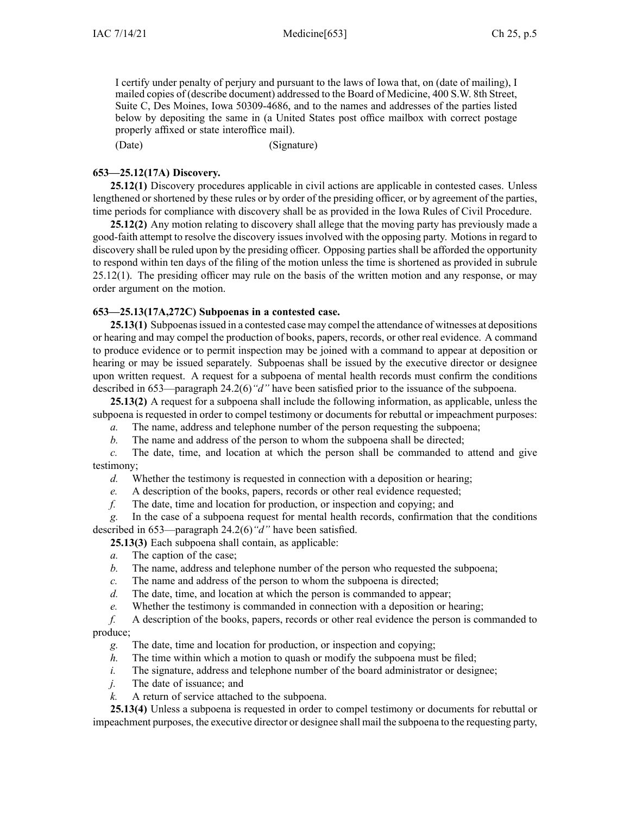I certify under penalty of perjury and pursuan<sup>t</sup> to the laws of Iowa that, on (date of mailing), I mailed copies of (describe document) addressed to the Board of Medicine, 400 S.W. 8th Street, Suite C, Des Moines, Iowa 50309-4686, and to the names and addresses of the parties listed below by depositing the same in (a United States pos<sup>t</sup> office mailbox with correct postage properly affixed or state interoffice mail).

(Date) (Signature)

# **653—25.12(17A) Discovery.**

**25.12(1)** Discovery procedures applicable in civil actions are applicable in contested cases. Unless lengthened or shortened by these rules or by order of the presiding officer, or by agreemen<sup>t</sup> of the parties, time periods for compliance with discovery shall be as provided in the Iowa Rules of Civil Procedure.

**25.12(2)** Any motion relating to discovery shall allege that the moving party has previously made <sup>a</sup> good-faith attempt to resolve the discovery issues involved with the opposing party. Motions in regard to discovery shall be ruled upon by the presiding officer. Opposing parties shall be afforded the opportunity to respond within ten days of the filing of the motion unless the time is shortened as provided in subrule [25.12\(1\)](https://www.legis.iowa.gov/docs/iac/rule/653.25.12.pdf). The presiding officer may rule on the basis of the written motion and any response, or may order argumen<sup>t</sup> on the motion.

# **653—25.13(17A,272C) Subpoenas in <sup>a</sup> contested case.**

**25.13(1)** Subpoenas issued in a contested case may compel the attendance of witnesses at depositions or hearing and may compel the production of books, papers, records, or other real evidence. A command to produce evidence or to permit inspection may be joined with <sup>a</sup> command to appear at deposition or hearing or may be issued separately. Subpoenas shall be issued by the executive director or designee upon written request. A reques<sup>t</sup> for <sup>a</sup> subpoena of mental health records must confirm the conditions described in 653—paragraph [24.2\(6\)](https://www.legis.iowa.gov/docs/iac/rule/653.24.2.pdf)*"d"* have been satisfied prior to the issuance of the subpoena.

**25.13(2)** A reques<sup>t</sup> for <sup>a</sup> subpoena shall include the following information, as applicable, unless the subpoena is requested in order to compel testimony or documents for rebuttal or impeachment purposes:

- *a.* The name, address and telephone number of the person requesting the subpoena;
- *b.* The name and address of the person to whom the subpoena shall be directed;

*c.* The date, time, and location at which the person shall be commanded to attend and give testimony;

*d.* Whether the testimony is requested in connection with <sup>a</sup> deposition or hearing;

- *e.* A description of the books, papers, records or other real evidence requested;
- *f.* The date, time and location for production, or inspection and copying; and

*g.* In the case of <sup>a</sup> subpoena reques<sup>t</sup> for mental health records, confirmation that the conditions described in 653—paragraph [24.2\(6\)](https://www.legis.iowa.gov/docs/iac/rule/653.24.2.pdf)*"d"* have been satisfied.

**25.13(3)** Each subpoena shall contain, as applicable:

- *a.* The caption of the case;
- *b.* The name, address and telephone number of the person who requested the subpoena;
- *c.* The name and address of the person to whom the subpoena is directed;
- *d.* The date, time, and location at which the person is commanded to appear;
- *e.* Whether the testimony is commanded in connection with <sup>a</sup> deposition or hearing;

*f.* A description of the books, papers, records or other real evidence the person is commanded to produce;

- *g.* The date, time and location for production, or inspection and copying;
- *h.* The time within which a motion to quash or modify the subpoena must be filed;
- *i.* The signature, address and telephone number of the board administrator or designee;
- *j.* The date of issuance; and
- *k.* A return of service attached to the subpoena.

**25.13(4)** Unless <sup>a</sup> subpoena is requested in order to compel testimony or documents for rebuttal or impeachment purposes, the executive director or designee shall mail the subpoena to the requesting party,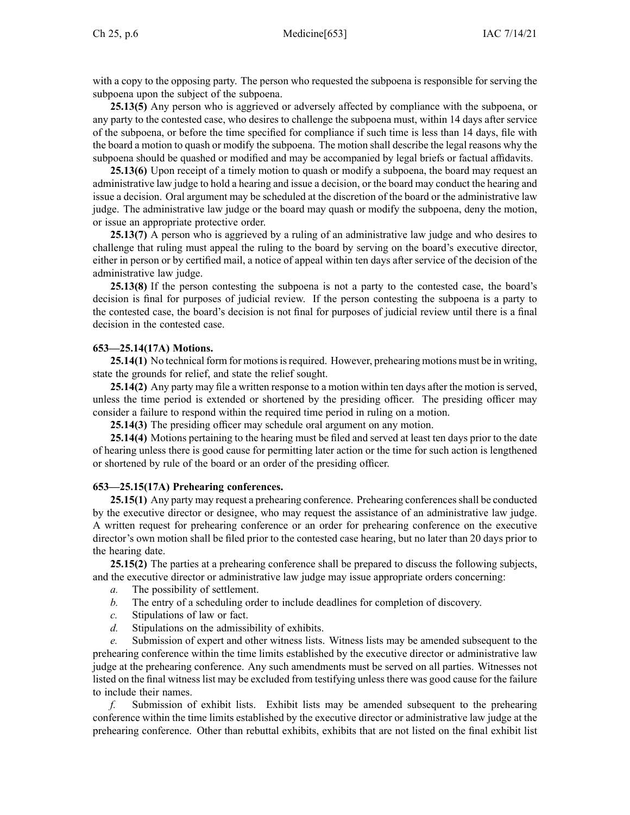with <sup>a</sup> copy to the opposing party. The person who requested the subpoena is responsible for serving the subpoena upon the subject of the subpoena.

**25.13(5)** Any person who is aggrieved or adversely affected by compliance with the subpoena, or any party to the contested case, who desires to challenge the subpoena must, within 14 days after service of the subpoena, or before the time specified for compliance if such time is less than 14 days, file with the board <sup>a</sup> motion to quash or modify the subpoena. The motion shall describe the legal reasons why the subpoena should be quashed or modified and may be accompanied by legal briefs or factual affidavits.

**25.13(6)** Upon receipt of <sup>a</sup> timely motion to quash or modify <sup>a</sup> subpoena, the board may reques<sup>t</sup> an administrative law judge to hold <sup>a</sup> hearing and issue <sup>a</sup> decision, or the board may conduct the hearing and issue <sup>a</sup> decision. Oral argumen<sup>t</sup> may be scheduled at the discretion of the board or the administrative law judge. The administrative law judge or the board may quash or modify the subpoena, deny the motion, or issue an appropriate protective order.

**25.13(7)** A person who is aggrieved by <sup>a</sup> ruling of an administrative law judge and who desires to challenge that ruling must appeal the ruling to the board by serving on the board's executive director, either in person or by certified mail, <sup>a</sup> notice of appeal within ten days after service of the decision of the administrative law judge.

**25.13(8)** If the person contesting the subpoena is not <sup>a</sup> party to the contested case, the board's decision is final for purposes of judicial review. If the person contesting the subpoena is <sup>a</sup> party to the contested case, the board's decision is not final for purposes of judicial review until there is <sup>a</sup> final decision in the contested case.

# **653—25.14(17A) Motions.**

25.14(1) No technical form for motions is required. However, prehearing motions must be in writing, state the grounds for relief, and state the relief sought.

25.14(2) Any party may file a written response to a motion within ten days after the motion is served, unless the time period is extended or shortened by the presiding officer. The presiding officer may consider <sup>a</sup> failure to respond within the required time period in ruling on <sup>a</sup> motion.

**25.14(3)** The presiding officer may schedule oral argumen<sup>t</sup> on any motion.

**25.14(4)** Motions pertaining to the hearing must be filed and served at least ten days prior to the date of hearing unless there is good cause for permitting later action or the time for such action is lengthened or shortened by rule of the board or an order of the presiding officer.

## **653—25.15(17A) Prehearing conferences.**

**25.15(1)** Any party may request a prehearing conference. Prehearing conferences shall be conducted by the executive director or designee, who may reques<sup>t</sup> the assistance of an administrative law judge. A written reques<sup>t</sup> for prehearing conference or an order for prehearing conference on the executive director's own motion shall be filed prior to the contested case hearing, but no later than 20 days prior to the hearing date.

**25.15(2)** The parties at <sup>a</sup> prehearing conference shall be prepared to discuss the following subjects, and the executive director or administrative law judge may issue appropriate orders concerning:

- *a.* The possibility of settlement.
- *b.* The entry of <sup>a</sup> scheduling order to include deadlines for completion of discovery.
- *c.* Stipulations of law or fact.
- *d.* Stipulations on the admissibility of exhibits.

*e.* Submission of exper<sup>t</sup> and other witness lists. Witness lists may be amended subsequent to the prehearing conference within the time limits established by the executive director or administrative law judge at the prehearing conference. Any such amendments must be served on all parties. Witnesses not listed on the final witness list may be excluded from testifying unless there was good cause for the failure to include their names.

*f.* Submission of exhibit lists. Exhibit lists may be amended subsequent to the prehearing conference within the time limits established by the executive director or administrative law judge at the prehearing conference. Other than rebuttal exhibits, exhibits that are not listed on the final exhibit list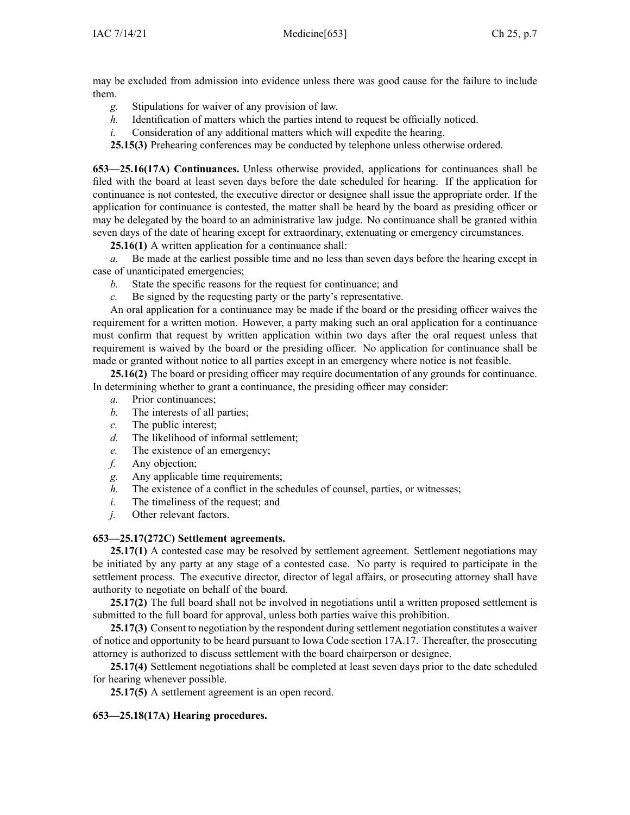may be excluded from admission into evidence unless there was good cause for the failure to include them.

- *g.* Stipulations for waiver of any provision of law.
- *h.* Identification of matters which the parties intend to reques<sup>t</sup> be officially noticed.
- *i.* Consideration of any additional matters which will expedite the hearing.

**25.15(3)** Prehearing conferences may be conducted by telephone unless otherwise ordered.

**653—25.16(17A) Continuances.** Unless otherwise provided, applications for continuances shall be filed with the board at least seven days before the date scheduled for hearing. If the application for continuance is not contested, the executive director or designee shall issue the appropriate order. If the application for continuance is contested, the matter shall be heard by the board as presiding officer or may be delegated by the board to an administrative law judge. No continuance shall be granted within seven days of the date of hearing excep<sup>t</sup> for extraordinary, extenuating or emergency circumstances.

**25.16(1)** A written application for <sup>a</sup> continuance shall:

*a.* Be made at the earliest possible time and no less than seven days before the hearing excep<sup>t</sup> in case of unanticipated emergencies;

- *b.* State the specific reasons for the reques<sup>t</sup> for continuance; and
- *c.* Be signed by the requesting party or the party's representative.

An oral application for <sup>a</sup> continuance may be made if the board or the presiding officer waives the requirement for <sup>a</sup> written motion. However, <sup>a</sup> party making such an oral application for <sup>a</sup> continuance must confirm that reques<sup>t</sup> by written application within two days after the oral reques<sup>t</sup> unless that requirement is waived by the board or the presiding officer. No application for continuance shall be made or granted without notice to all parties excep<sup>t</sup> in an emergency where notice is not feasible.

**25.16(2)** The board or presiding officer may require documentation of any grounds for continuance. In determining whether to gran<sup>t</sup> <sup>a</sup> continuance, the presiding officer may consider:

- *a.* Prior continuances;
- *b.* The interests of all parties;
- *c.* The public interest;
- *d.* The likelihood of informal settlement;
- *e.* The existence of an emergency;
- *f.* Any objection;
- *g.* Any applicable time requirements;
- *h.* The existence of <sup>a</sup> conflict in the schedules of counsel, parties, or witnesses;
- *i.* The timeliness of the request; and
- *j.* Other relevant factors.

## **653—25.17(272C) Settlement agreements.**

**25.17(1)** A contested case may be resolved by settlement agreement. Settlement negotiations may be initiated by any party at any stage of <sup>a</sup> contested case. No party is required to participate in the settlement process. The executive director, director of legal affairs, or prosecuting attorney shall have authority to negotiate on behalf of the board.

**25.17(2)** The full board shall not be involved in negotiations until <sup>a</sup> written proposed settlement is submitted to the full board for approval, unless both parties waive this prohibition.

**25.17(3)** Consent to negotiation by the respondent during settlement negotiation constitutes <sup>a</sup> waiver of notice and opportunity to be heard pursuan<sup>t</sup> to Iowa Code section [17A.17](https://www.legis.iowa.gov/docs/ico/section/17A.17.pdf). Thereafter, the prosecuting attorney is authorized to discuss settlement with the board chairperson or designee.

**25.17(4)** Settlement negotiations shall be completed at least seven days prior to the date scheduled for hearing whenever possible.

**25.17(5)** A settlement agreemen<sup>t</sup> is an open record.

# **653—25.18(17A) Hearing procedures.**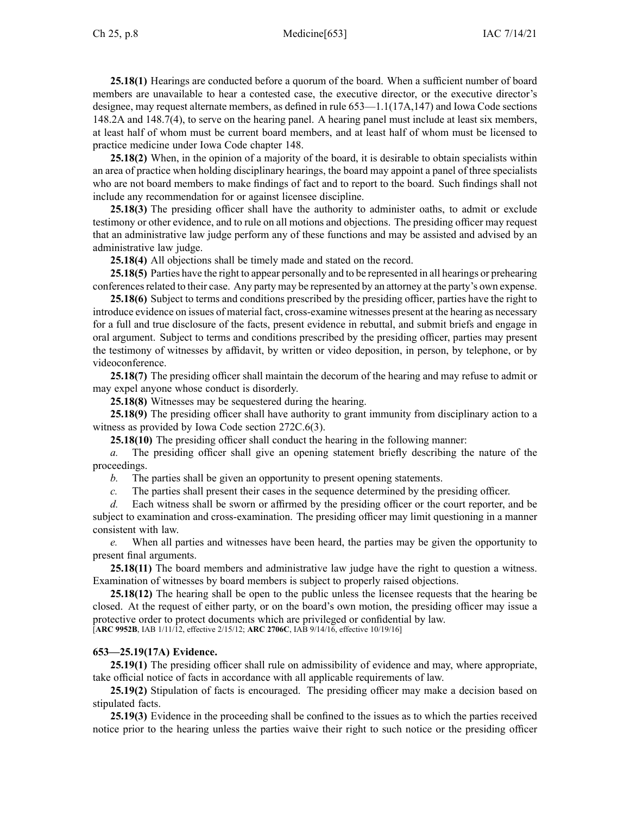#### Ch 25, p.8 Medicine[653] IAC 7/14/21

**25.18(1)** Hearings are conducted before <sup>a</sup> quorum of the board. When <sup>a</sup> sufficient number of board members are unavailable to hear <sup>a</sup> contested case, the executive director, or the executive director's designee, may reques<sup>t</sup> alternate members, as defined in rule [653—1.1](https://www.legis.iowa.gov/docs/iac/rule/653.1.1.pdf)(17A,147) and Iowa Code sections [148.2A](https://www.legis.iowa.gov/docs/ico/section/148.2A.pdf) and [148.7\(4\)](https://www.legis.iowa.gov/docs/ico/section/148.7.pdf), to serve on the hearing panel. A hearing panel must include at least six members, at least half of whom must be current board members, and at least half of whom must be licensed to practice medicine under Iowa Code chapter [148](https://www.legis.iowa.gov/docs/ico/chapter/148.pdf).

**25.18(2)** When, in the opinion of <sup>a</sup> majority of the board, it is desirable to obtain specialists within an area of practice when holding disciplinary hearings, the board may appoint <sup>a</sup> panel of three specialists who are not board members to make findings of fact and to repor<sup>t</sup> to the board. Such findings shall not include any recommendation for or against licensee discipline.

**25.18(3)** The presiding officer shall have the authority to administer oaths, to admit or exclude testimony or other evidence, and to rule on all motions and objections. The presiding officer may reques<sup>t</sup> that an administrative law judge perform any of these functions and may be assisted and advised by an administrative law judge.

**25.18(4)** All objections shall be timely made and stated on the record.

**25.18(5)** Parties have the right to appear personally and to be represented in all hearings or prehearing conferencesrelated to their case. Any party may be represented by an attorney at the party's own expense.

**25.18(6)** Subject to terms and conditions prescribed by the presiding officer, parties have the right to introduce evidence on issues of material fact, cross-examine witnesses presen<sup>t</sup> at the hearing as necessary for <sup>a</sup> full and true disclosure of the facts, presen<sup>t</sup> evidence in rebuttal, and submit briefs and engage in oral argument. Subject to terms and conditions prescribed by the presiding officer, parties may presen<sup>t</sup> the testimony of witnesses by affidavit, by written or video deposition, in person, by telephone, or by videoconference.

**25.18(7)** The presiding officer shall maintain the decorum of the hearing and may refuse to admit or may expel anyone whose conduct is disorderly.

**25.18(8)** Witnesses may be sequestered during the hearing.

**25.18(9)** The presiding officer shall have authority to gran<sup>t</sup> immunity from disciplinary action to <sup>a</sup> witness as provided by Iowa Code section [272C.6\(3\)](https://www.legis.iowa.gov/docs/ico/section/272C.6.pdf).

**25.18(10)** The presiding officer shall conduct the hearing in the following manner:

*a.* The presiding officer shall give an opening statement briefly describing the nature of the proceedings.

*b.* The parties shall be given an opportunity to presen<sup>t</sup> opening statements.

*c.* The parties shall presen<sup>t</sup> their cases in the sequence determined by the presiding officer.

*d.* Each witness shall be sworn or affirmed by the presiding officer or the court reporter, and be subject to examination and cross-examination. The presiding officer may limit questioning in <sup>a</sup> manner consistent with law.

*e.* When all parties and witnesses have been heard, the parties may be given the opportunity to presen<sup>t</sup> final arguments.

**25.18(11)** The board members and administrative law judge have the right to question <sup>a</sup> witness. Examination of witnesses by board members is subject to properly raised objections.

**25.18(12)** The hearing shall be open to the public unless the licensee requests that the hearing be closed. At the reques<sup>t</sup> of either party, or on the board's own motion, the presiding officer may issue <sup>a</sup> protective order to protect documents which are privileged or confidential by law. [**ARC [9952B](https://www.legis.iowa.gov/docs/aco/arc/9952B.pdf)**, IAB 1/11/12, effective 2/15/12; **ARC [2706C](https://www.legis.iowa.gov/docs/aco/arc/2706C.pdf)**, IAB 9/14/16, effective 10/19/16]

## **653—25.19(17A) Evidence.**

**25.19(1)** The presiding officer shall rule on admissibility of evidence and may, where appropriate, take official notice of facts in accordance with all applicable requirements of law.

**25.19(2)** Stipulation of facts is encouraged. The presiding officer may make <sup>a</sup> decision based on stipulated facts.

**25.19(3)** Evidence in the proceeding shall be confined to the issues as to which the parties received notice prior to the hearing unless the parties waive their right to such notice or the presiding officer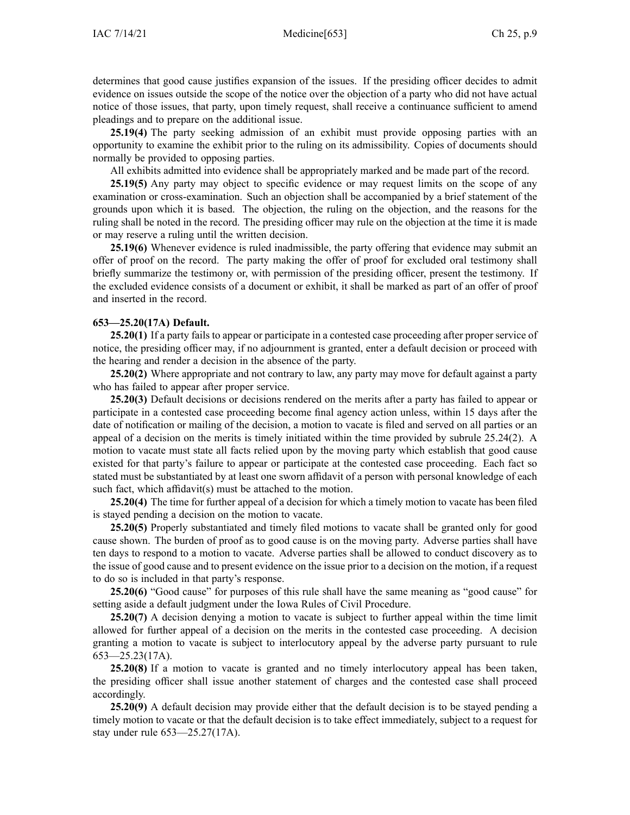determines that good cause justifies expansion of the issues. If the presiding officer decides to admit evidence on issues outside the scope of the notice over the objection of <sup>a</sup> party who did not have actual notice of those issues, that party, upon timely request, shall receive <sup>a</sup> continuance sufficient to amend pleadings and to prepare on the additional issue.

**25.19(4)** The party seeking admission of an exhibit must provide opposing parties with an opportunity to examine the exhibit prior to the ruling on its admissibility. Copies of documents should normally be provided to opposing parties.

All exhibits admitted into evidence shall be appropriately marked and be made par<sup>t</sup> of the record.

**25.19(5)** Any party may object to specific evidence or may reques<sup>t</sup> limits on the scope of any examination or cross-examination. Such an objection shall be accompanied by <sup>a</sup> brief statement of the grounds upon which it is based. The objection, the ruling on the objection, and the reasons for the ruling shall be noted in the record. The presiding officer may rule on the objection at the time it is made or may reserve <sup>a</sup> ruling until the written decision.

**25.19(6)** Whenever evidence is ruled inadmissible, the party offering that evidence may submit an offer of proof on the record. The party making the offer of proof for excluded oral testimony shall briefly summarize the testimony or, with permission of the presiding officer, presen<sup>t</sup> the testimony. If the excluded evidence consists of <sup>a</sup> document or exhibit, it shall be marked as par<sup>t</sup> of an offer of proof and inserted in the record.

#### **653—25.20(17A) Default.**

**25.20(1)** If <sup>a</sup> party fails to appear or participate in <sup>a</sup> contested case proceeding after proper service of notice, the presiding officer may, if no adjournment is granted, enter <sup>a</sup> default decision or proceed with the hearing and render <sup>a</sup> decision in the absence of the party.

**25.20(2)** Where appropriate and not contrary to law, any party may move for default against <sup>a</sup> party who has failed to appear after proper service.

**25.20(3)** Default decisions or decisions rendered on the merits after <sup>a</sup> party has failed to appear or participate in <sup>a</sup> contested case proceeding become final agency action unless, within 15 days after the date of notification or mailing of the decision, <sup>a</sup> motion to vacate is filed and served on all parties or an appeal of <sup>a</sup> decision on the merits is timely initiated within the time provided by subrule [25.24\(2\)](https://www.legis.iowa.gov/docs/iac/rule/653.25.24.pdf). A motion to vacate must state all facts relied upon by the moving party which establish that good cause existed for that party's failure to appear or participate at the contested case proceeding. Each fact so stated must be substantiated by at least one sworn affidavit of <sup>a</sup> person with personal knowledge of each such fact, which affidavit(s) must be attached to the motion.

**25.20(4)** The time for further appeal of <sup>a</sup> decision for which <sup>a</sup> timely motion to vacate has been filed is stayed pending <sup>a</sup> decision on the motion to vacate.

**25.20(5)** Properly substantiated and timely filed motions to vacate shall be granted only for good cause shown. The burden of proof as to good cause is on the moving party. Adverse parties shall have ten days to respond to <sup>a</sup> motion to vacate. Adverse parties shall be allowed to conduct discovery as to the issue of good cause and to presen<sup>t</sup> evidence on the issue prior to <sup>a</sup> decision on the motion, if <sup>a</sup> reques<sup>t</sup> to do so is included in that party's response.

**25.20(6)** "Good cause" for purposes of this rule shall have the same meaning as "good cause" for setting aside <sup>a</sup> default judgment under the Iowa Rules of Civil Procedure.

**25.20(7)** A decision denying <sup>a</sup> motion to vacate is subject to further appeal within the time limit allowed for further appeal of <sup>a</sup> decision on the merits in the contested case proceeding. A decision granting <sup>a</sup> motion to vacate is subject to interlocutory appeal by the adverse party pursuan<sup>t</sup> to rule [653—25.23](https://www.legis.iowa.gov/docs/iac/rule/653.25.23.pdf)(17A).

**25.20(8)** If <sup>a</sup> motion to vacate is granted and no timely interlocutory appeal has been taken, the presiding officer shall issue another statement of charges and the contested case shall proceed accordingly.

**25.20(9)** A default decision may provide either that the default decision is to be stayed pending <sup>a</sup> timely motion to vacate or that the default decision is to take effect immediately, subject to <sup>a</sup> reques<sup>t</sup> for stay under rule [653—25.27](https://www.legis.iowa.gov/docs/iac/rule/653.25.27.pdf)(17A).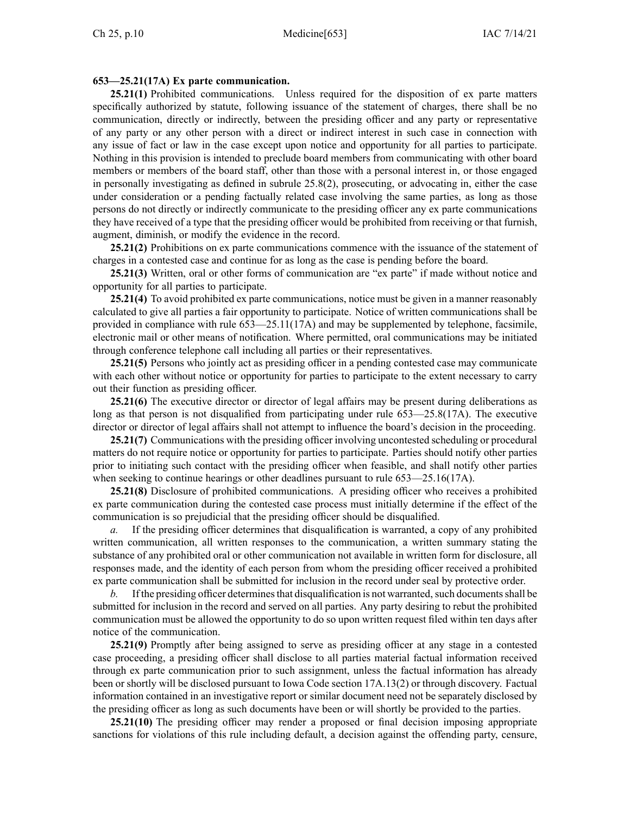#### **653—25.21(17A) Ex parte communication.**

**25.21(1)** Prohibited communications. Unless required for the disposition of ex parte matters specifically authorized by statute, following issuance of the statement of charges, there shall be no communication, directly or indirectly, between the presiding officer and any party or representative of any party or any other person with <sup>a</sup> direct or indirect interest in such case in connection with any issue of fact or law in the case excep<sup>t</sup> upon notice and opportunity for all parties to participate. Nothing in this provision is intended to preclude board members from communicating with other board members or members of the board staff, other than those with <sup>a</sup> personal interest in, or those engaged in personally investigating as defined in subrule [25.8\(2\)](https://www.legis.iowa.gov/docs/iac/rule/653.25.8.pdf), prosecuting, or advocating in, either the case under consideration or <sup>a</sup> pending factually related case involving the same parties, as long as those persons do not directly or indirectly communicate to the presiding officer any ex parte communications they have received of <sup>a</sup> type that the presiding officer would be prohibited from receiving or that furnish, augment, diminish, or modify the evidence in the record.

**25.21(2)** Prohibitions on ex parte communications commence with the issuance of the statement of charges in <sup>a</sup> contested case and continue for as long as the case is pending before the board.

**25.21(3)** Written, oral or other forms of communication are "ex parte" if made without notice and opportunity for all parties to participate.

**25.21(4)** To avoid prohibited ex parte communications, notice must be given in <sup>a</sup> manner reasonably calculated to give all parties <sup>a</sup> fair opportunity to participate. Notice of written communications shall be provided in compliance with rule [653—25.11](https://www.legis.iowa.gov/docs/iac/rule/653.25.11.pdf)(17A) and may be supplemented by telephone, facsimile, electronic mail or other means of notification. Where permitted, oral communications may be initiated through conference telephone call including all parties or their representatives.

**25.21(5)** Persons who jointly act as presiding officer in <sup>a</sup> pending contested case may communicate with each other without notice or opportunity for parties to participate to the extent necessary to carry out their function as presiding officer.

**25.21(6)** The executive director or director of legal affairs may be presen<sup>t</sup> during deliberations as long as that person is not disqualified from participating under rule [653—25.8](https://www.legis.iowa.gov/docs/iac/rule/653.25.8.pdf)(17A). The executive director or director of legal affairs shall not attempt to influence the board's decision in the proceeding.

**25.21(7)** Communications with the presiding officer involving uncontested scheduling or procedural matters do not require notice or opportunity for parties to participate. Parties should notify other parties prior to initiating such contact with the presiding officer when feasible, and shall notify other parties when seeking to continue hearings or other deadlines pursuant to rule [653—25.16](https://www.legis.iowa.gov/docs/iac/rule/653.25.16.pdf)(17A).

**25.21(8)** Disclosure of prohibited communications. A presiding officer who receives <sup>a</sup> prohibited ex parte communication during the contested case process must initially determine if the effect of the communication is so prejudicial that the presiding officer should be disqualified.

If the presiding officer determines that disqualification is warranted, a copy of any prohibited written communication, all written responses to the communication, <sup>a</sup> written summary stating the substance of any prohibited oral or other communication not available in written form for disclosure, all responses made, and the identity of each person from whom the presiding officer received <sup>a</sup> prohibited ex parte communication shall be submitted for inclusion in the record under seal by protective order.

*b.* If the presiding officer determines that disqualification is not warranted, such documents shall be submitted for inclusion in the record and served on all parties. Any party desiring to rebut the prohibited communication must be allowed the opportunity to do so upon written reques<sup>t</sup> filed within ten days after notice of the communication.

**25.21(9)** Promptly after being assigned to serve as presiding officer at any stage in <sup>a</sup> contested case proceeding, <sup>a</sup> presiding officer shall disclose to all parties material factual information received through ex parte communication prior to such assignment, unless the factual information has already been or shortly will be disclosed pursuan<sup>t</sup> to Iowa Code section [17A.13\(2\)](https://www.legis.iowa.gov/docs/ico/section/17A.13.pdf) or through discovery. Factual information contained in an investigative repor<sup>t</sup> or similar document need not be separately disclosed by the presiding officer as long as such documents have been or will shortly be provided to the parties.

**25.21(10)** The presiding officer may render <sup>a</sup> proposed or final decision imposing appropriate sanctions for violations of this rule including default, <sup>a</sup> decision against the offending party, censure,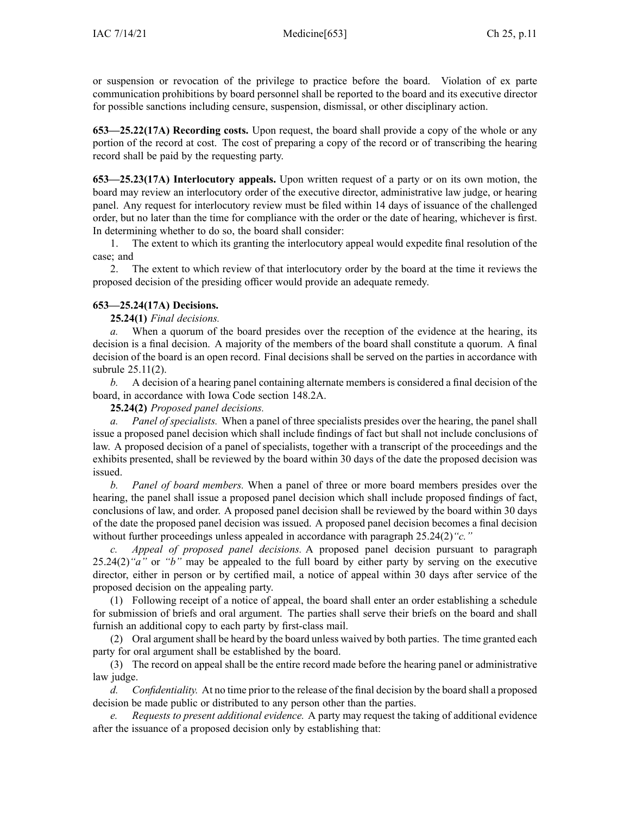or suspension or revocation of the privilege to practice before the board. Violation of ex parte communication prohibitions by board personnel shall be reported to the board and its executive director for possible sanctions including censure, suspension, dismissal, or other disciplinary action.

**653—25.22(17A) Recording costs.** Upon request, the board shall provide <sup>a</sup> copy of the whole or any portion of the record at cost. The cost of preparing <sup>a</sup> copy of the record or of transcribing the hearing record shall be paid by the requesting party.

**653—25.23(17A) Interlocutory appeals.** Upon written reques<sup>t</sup> of <sup>a</sup> party or on its own motion, the board may review an interlocutory order of the executive director, administrative law judge, or hearing panel. Any reques<sup>t</sup> for interlocutory review must be filed within 14 days of issuance of the challenged order, but no later than the time for compliance with the order or the date of hearing, whichever is first. In determining whether to do so, the board shall consider:

1. The extent to which its granting the interlocutory appeal would expedite final resolution of the case; and

2. The extent to which review of that interlocutory order by the board at the time it reviews the proposed decision of the presiding officer would provide an adequate remedy.

# **653—25.24(17A) Decisions.**

**25.24(1)** *Final decisions.*

*a.* When <sup>a</sup> quorum of the board presides over the reception of the evidence at the hearing, its decision is <sup>a</sup> final decision. A majority of the members of the board shall constitute <sup>a</sup> quorum. A final decision of the board is an open record. Final decisions shall be served on the parties in accordance with subrule [25.11\(2\)](https://www.legis.iowa.gov/docs/iac/rule/653.25.11.pdf).

*b.* A decision of <sup>a</sup> hearing panel containing alternate members is considered <sup>a</sup> final decision of the board, in accordance with Iowa Code section [148.2A](https://www.legis.iowa.gov/docs/ico/section/148.2A.pdf).

**25.24(2)** *Proposed panel decisions.*

*a. Panel of specialists.* When <sup>a</sup> panel of three specialists presides over the hearing, the panel shall issue <sup>a</sup> proposed panel decision which shall include findings of fact but shall not include conclusions of law. A proposed decision of <sup>a</sup> panel of specialists, together with <sup>a</sup> transcript of the proceedings and the exhibits presented, shall be reviewed by the board within 30 days of the date the proposed decision was issued.

*b. Panel of board members.* When <sup>a</sup> panel of three or more board members presides over the hearing, the panel shall issue <sup>a</sup> proposed panel decision which shall include proposed findings of fact, conclusions of law, and order. A proposed panel decision shall be reviewed by the board within 30 days of the date the proposed panel decision was issued. A proposed panel decision becomes <sup>a</sup> final decision without further proceedings unless appealed in accordance with paragraph [25.24\(2\)](https://www.legis.iowa.gov/docs/iac/rule/653.25.24.pdf) "c."

*c. Appeal of proposed panel decisions.* A proposed panel decision pursuan<sup>t</sup> to paragraph [25.24\(2\)](https://www.legis.iowa.gov/docs/iac/rule/653.25.24.pdf)*"a"* or *"b"* may be appealed to the full board by either party by serving on the executive director, either in person or by certified mail, <sup>a</sup> notice of appeal within 30 days after service of the proposed decision on the appealing party.

(1) Following receipt of <sup>a</sup> notice of appeal, the board shall enter an order establishing <sup>a</sup> schedule for submission of briefs and oral argument. The parties shall serve their briefs on the board and shall furnish an additional copy to each party by first-class mail.

(2) Oral argumen<sup>t</sup> shall be heard by the board unless waived by both parties. The time granted each party for oral argumen<sup>t</sup> shall be established by the board.

(3) The record on appeal shall be the entire record made before the hearing panel or administrative law judge.

*d. Confidentiality.* At no time prior to the release of the final decision by the board shall <sup>a</sup> proposed decision be made public or distributed to any person other than the parties.

*e. Requests to presen<sup>t</sup> additional evidence.* A party may reques<sup>t</sup> the taking of additional evidence after the issuance of <sup>a</sup> proposed decision only by establishing that: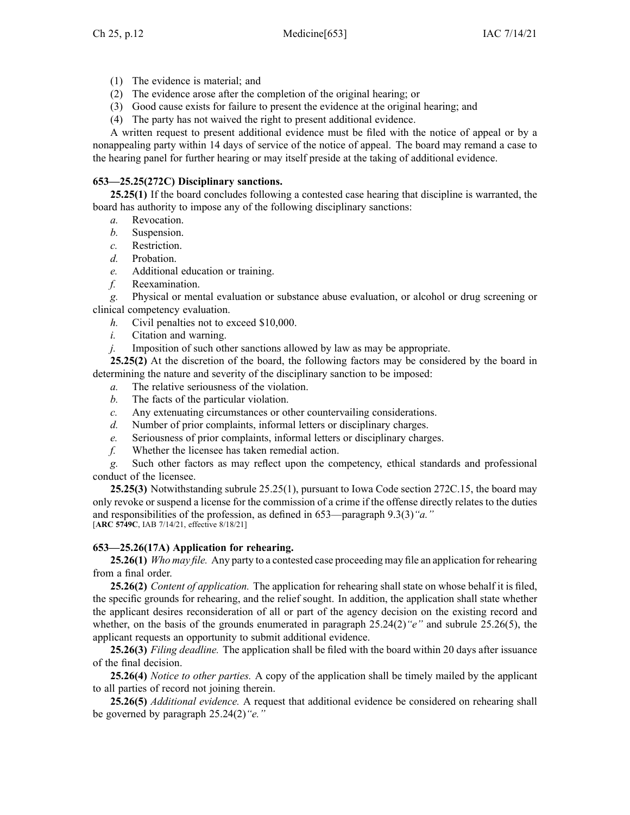- (1) The evidence is material; and
- (2) The evidence arose after the completion of the original hearing; or
- (3) Good cause exists for failure to presen<sup>t</sup> the evidence at the original hearing; and
- (4) The party has not waived the right to presen<sup>t</sup> additional evidence.

A written reques<sup>t</sup> to presen<sup>t</sup> additional evidence must be filed with the notice of appeal or by <sup>a</sup> nonappealing party within 14 days of service of the notice of appeal. The board may remand <sup>a</sup> case to the hearing panel for further hearing or may itself preside at the taking of additional evidence.

# **653—25.25(272C) Disciplinary sanctions.**

**25.25(1)** If the board concludes following <sup>a</sup> contested case hearing that discipline is warranted, the board has authority to impose any of the following disciplinary sanctions:

- *a.* Revocation.
- *b.* Suspension.
- *c.* Restriction.
- *d.* Probation.
- *e.* Additional education or training.
- *f.* Reexamination.

*g.* Physical or mental evaluation or substance abuse evaluation, or alcohol or drug screening or clinical competency evaluation.

- *h.* Civil penalties not to exceed \$10,000.
- *i.* Citation and warning.
- *j.* Imposition of such other sanctions allowed by law as may be appropriate.

**25.25(2)** At the discretion of the board, the following factors may be considered by the board in determining the nature and severity of the disciplinary sanction to be imposed:

- *a.* The relative seriousness of the violation.
- *b.* The facts of the particular violation.
- *c.* Any extenuating circumstances or other countervailing considerations.
- *d.* Number of prior complaints, informal letters or disciplinary charges.
- *e.* Seriousness of prior complaints, informal letters or disciplinary charges.
- *f.* Whether the licensee has taken remedial action.

*g.* Such other factors as may reflect upon the competency, ethical standards and professional conduct of the licensee.

**25.25(3)** Notwithstanding subrule [25.25\(1\)](https://www.legis.iowa.gov/docs/iac/rule/653.25.25.pdf), pursuan<sup>t</sup> to Iowa Code section [272C.15](https://www.legis.iowa.gov/docs/ico/section/272C.15.pdf), the board may only revoke or suspend <sup>a</sup> license for the commission of <sup>a</sup> crime if the offense directly relates to the duties and responsibilities of the profession, as defined in [653—paragraph](https://www.legis.iowa.gov/docs/iac/rule/653.9.3.pdf) 9.3(3)*"a."* [**ARC [5749C](https://www.legis.iowa.gov/docs/aco/arc/5749C.pdf)**, IAB 7/14/21, effective 8/18/21]

# **653—25.26(17A) Application for rehearing.**

**25.26(1)** *Who may file.* Any party to <sup>a</sup> contested case proceeding may file an application for rehearing from <sup>a</sup> final order.

**25.26(2)** *Content of application.* The application for rehearing shall state on whose behalf it is filed, the specific grounds for rehearing, and the relief sought. In addition, the application shall state whether the applicant desires reconsideration of all or par<sup>t</sup> of the agency decision on the existing record and whether, on the basis of the grounds enumerated in paragraph [25.24\(2\)](https://www.legis.iowa.gov/docs/iac/rule/653.25.24.pdf)*"e"* and subrule [25.26\(5\)](https://www.legis.iowa.gov/docs/iac/rule/653.25.26.pdf), the applicant requests an opportunity to submit additional evidence.

**25.26(3)** *Filing deadline.* The application shall be filed with the board within 20 days after issuance of the final decision.

**25.26(4)** *Notice to other parties.* A copy of the application shall be timely mailed by the applicant to all parties of record not joining therein.

**25.26(5)** *Additional evidence.* A reques<sup>t</sup> that additional evidence be considered on rehearing shall be governed by paragraph [25.24\(2\)](https://www.legis.iowa.gov/docs/iac/rule/653.25.24.pdf)*"e."*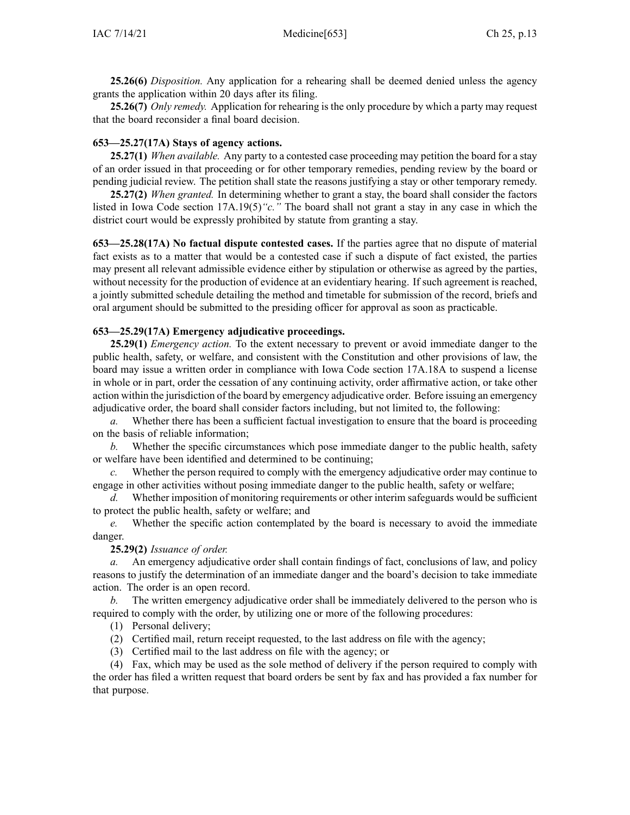**25.26(6)** *Disposition.* Any application for <sup>a</sup> rehearing shall be deemed denied unless the agency grants the application within 20 days after its filing.

**25.26(7)** *Only remedy.* Application for rehearing is the only procedure by which <sup>a</sup> party may reques<sup>t</sup> that the board reconsider <sup>a</sup> final board decision.

#### **653—25.27(17A) Stays of agency actions.**

**25.27(1)** *When available.* Any party to <sup>a</sup> contested case proceeding may petition the board for <sup>a</sup> stay of an order issued in that proceeding or for other temporary remedies, pending review by the board or pending judicial review. The petition shall state the reasons justifying <sup>a</sup> stay or other temporary remedy.

**25.27(2)** *When granted.* In determining whether to gran<sup>t</sup> <sup>a</sup> stay, the board shall consider the factors listed in Iowa Code section [17A.19\(5\)](https://www.legis.iowa.gov/docs/ico/section/17A.19.pdf)*"c."* The board shall not gran<sup>t</sup> <sup>a</sup> stay in any case in which the district court would be expressly prohibited by statute from granting <sup>a</sup> stay.

**653—25.28(17A) No factual dispute contested cases.** If the parties agree that no dispute of material fact exists as to <sup>a</sup> matter that would be <sup>a</sup> contested case if such <sup>a</sup> dispute of fact existed, the parties may presen<sup>t</sup> all relevant admissible evidence either by stipulation or otherwise as agreed by the parties, without necessity for the production of evidence at an evidentiary hearing. If such agreemen<sup>t</sup> is reached, <sup>a</sup> jointly submitted schedule detailing the method and timetable for submission of the record, briefs and oral argumen<sup>t</sup> should be submitted to the presiding officer for approval as soon as practicable.

#### **653—25.29(17A) Emergency adjudicative proceedings.**

**25.29(1)** *Emergency action.* To the extent necessary to preven<sup>t</sup> or avoid immediate danger to the public health, safety, or welfare, and consistent with the Constitution and other provisions of law, the board may issue <sup>a</sup> written order in compliance with Iowa Code section [17A.18A](https://www.legis.iowa.gov/docs/ico/section/17A.18A.pdf) to suspend <sup>a</sup> license in whole or in part, order the cessation of any continuing activity, order affirmative action, or take other action within the jurisdiction of the board by emergency adjudicative order. Before issuing an emergency adjudicative order, the board shall consider factors including, but not limited to, the following:

*a.* Whether there has been <sup>a</sup> sufficient factual investigation to ensure that the board is proceeding on the basis of reliable information;

*b.* Whether the specific circumstances which pose immediate danger to the public health, safety or welfare have been identified and determined to be continuing;

*c.* Whether the person required to comply with the emergency adjudicative order may continue to engage in other activities without posing immediate danger to the public health, safety or welfare;

*d.* Whether imposition of monitoring requirements or other interim safeguards would be sufficient to protect the public health, safety or welfare; and

*e.* Whether the specific action contemplated by the board is necessary to avoid the immediate danger.

#### **25.29(2)** *Issuance of order.*

*a.* An emergency adjudicative order shall contain findings of fact, conclusions of law, and policy reasons to justify the determination of an immediate danger and the board's decision to take immediate action. The order is an open record.

*b.* The written emergency adjudicative order shall be immediately delivered to the person who is required to comply with the order, by utilizing one or more of the following procedures:

(1) Personal delivery;

(2) Certified mail, return receipt requested, to the last address on file with the agency;

(3) Certified mail to the last address on file with the agency; or

(4) Fax, which may be used as the sole method of delivery if the person required to comply with the order has filed <sup>a</sup> written reques<sup>t</sup> that board orders be sent by fax and has provided <sup>a</sup> fax number for that purpose.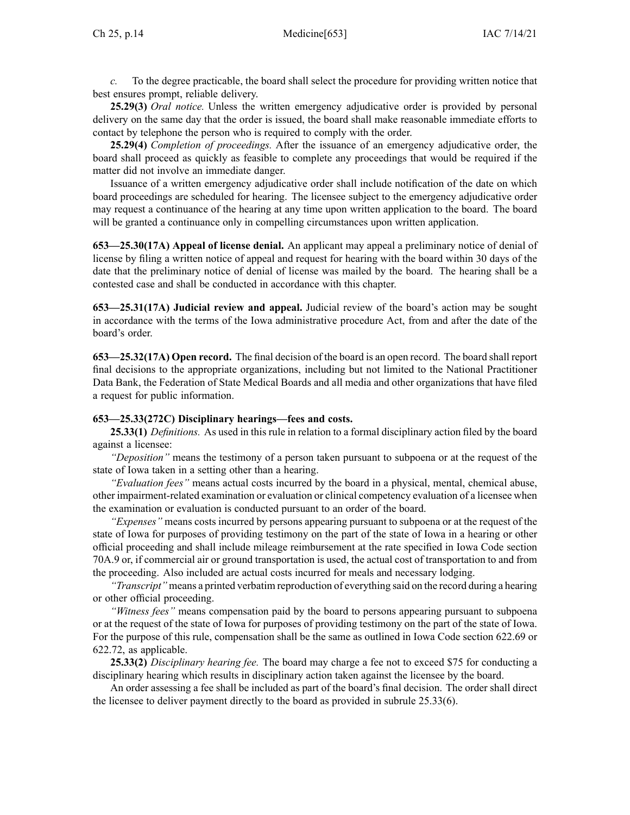*c.* To the degree practicable, the board shall select the procedure for providing written notice that best ensures prompt, reliable delivery.

**25.29(3)** *Oral notice.* Unless the written emergency adjudicative order is provided by personal delivery on the same day that the order is issued, the board shall make reasonable immediate efforts to contact by telephone the person who is required to comply with the order.

**25.29(4)** *Completion of proceedings.* After the issuance of an emergency adjudicative order, the board shall proceed as quickly as feasible to complete any proceedings that would be required if the matter did not involve an immediate danger.

Issuance of <sup>a</sup> written emergency adjudicative order shall include notification of the date on which board proceedings are scheduled for hearing. The licensee subject to the emergency adjudicative order may reques<sup>t</sup> <sup>a</sup> continuance of the hearing at any time upon written application to the board. The board will be granted <sup>a</sup> continuance only in compelling circumstances upon written application.

**653—25.30(17A) Appeal of license denial.** An applicant may appeal <sup>a</sup> preliminary notice of denial of license by filing <sup>a</sup> written notice of appeal and reques<sup>t</sup> for hearing with the board within 30 days of the date that the preliminary notice of denial of license was mailed by the board. The hearing shall be <sup>a</sup> contested case and shall be conducted in accordance with this chapter.

**653—25.31(17A) Judicial review and appeal.** Judicial review of the board's action may be sought in accordance with the terms of the Iowa administrative procedure Act, from and after the date of the board's order.

**653—25.32(17A) Open record.** The final decision of the board is an open record. The board shall repor<sup>t</sup> final decisions to the appropriate organizations, including but not limited to the National Practitioner Data Bank, the Federation of State Medical Boards and all media and other organizations that have filed <sup>a</sup> reques<sup>t</sup> for public information.

## **653—25.33(272C) Disciplinary hearings—fees and costs.**

**25.33(1)** *Definitions.* As used in this rule in relation to <sup>a</sup> formal disciplinary action filed by the board against <sup>a</sup> licensee:

*"Deposition"* means the testimony of <sup>a</sup> person taken pursuan<sup>t</sup> to subpoena or at the reques<sup>t</sup> of the state of Iowa taken in <sup>a</sup> setting other than <sup>a</sup> hearing.

*"Evaluation fees"* means actual costs incurred by the board in <sup>a</sup> physical, mental, chemical abuse, other impairment-related examination or evaluation or clinical competency evaluation of <sup>a</sup> licensee when the examination or evaluation is conducted pursuan<sup>t</sup> to an order of the board.

*"Expenses"* means costs incurred by persons appearing pursuan<sup>t</sup> to subpoena or at the reques<sup>t</sup> of the state of Iowa for purposes of providing testimony on the par<sup>t</sup> of the state of Iowa in <sup>a</sup> hearing or other official proceeding and shall include mileage reimbursement at the rate specified in Iowa Code section [70A.9](https://www.legis.iowa.gov/docs/ico/section/70A.9.pdf) or, if commercial air or ground transportation is used, the actual cost of transportation to and from the proceeding. Also included are actual costs incurred for meals and necessary lodging.

*"Transcript"* means <sup>a</sup> printed verbatim reproduction of everything said on the record during <sup>a</sup> hearing or other official proceeding.

*"Witness fees"* means compensation paid by the board to persons appearing pursuan<sup>t</sup> to subpoena or at the reques<sup>t</sup> of the state of Iowa for purposes of providing testimony on the par<sup>t</sup> of the state of Iowa. For the purpose of this rule, compensation shall be the same as outlined in Iowa Code section [622.69](https://www.legis.iowa.gov/docs/ico/section/622.69.pdf) or [622.72](https://www.legis.iowa.gov/docs/ico/section/622.72.pdf), as applicable.

**25.33(2)** *Disciplinary hearing fee.* The board may charge <sup>a</sup> fee not to exceed \$75 for conducting <sup>a</sup> disciplinary hearing which results in disciplinary action taken against the licensee by the board.

An order assessing <sup>a</sup> fee shall be included as par<sup>t</sup> of the board's final decision. The order shall direct the licensee to deliver paymen<sup>t</sup> directly to the board as provided in subrule [25.33\(6\)](https://www.legis.iowa.gov/docs/iac/rule/653.25.33.pdf).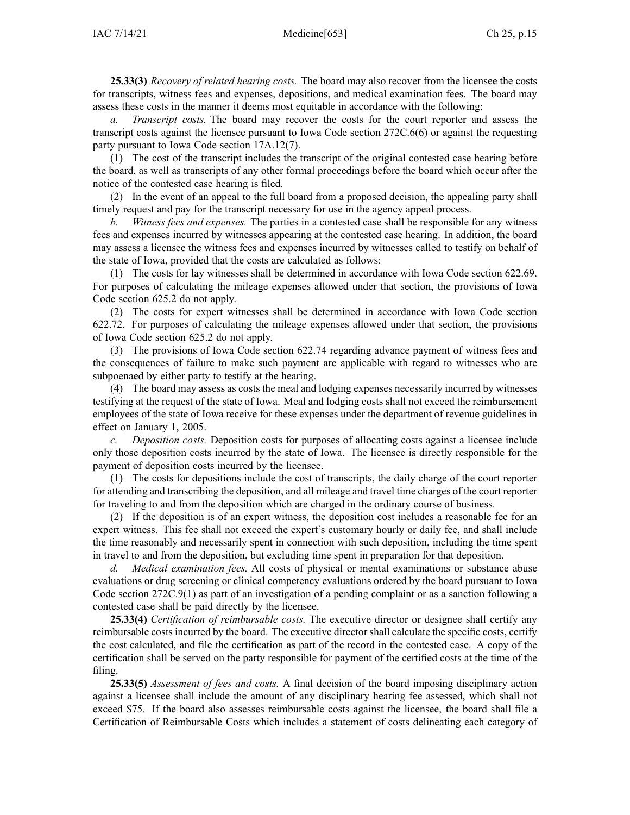**25.33(3)** *Recovery of related hearing costs.* The board may also recover from the licensee the costs for transcripts, witness fees and expenses, depositions, and medical examination fees. The board may assess these costs in the manner it deems most equitable in accordance with the following:

*a. Transcript costs.* The board may recover the costs for the court reporter and assess the transcript costs against the licensee pursuan<sup>t</sup> to Iowa Code section [272C.6\(6\)](https://www.legis.iowa.gov/docs/ico/section/272C.6.pdf) or against the requesting party pursuan<sup>t</sup> to Iowa Code section [17A.12\(7\)](https://www.legis.iowa.gov/docs/ico/section/17A.12.pdf).

(1) The cost of the transcript includes the transcript of the original contested case hearing before the board, as well as transcripts of any other formal proceedings before the board which occur after the notice of the contested case hearing is filed.

(2) In the event of an appeal to the full board from <sup>a</sup> proposed decision, the appealing party shall timely reques<sup>t</sup> and pay for the transcript necessary for use in the agency appeal process.

*b. Witness fees and expenses.* The parties in <sup>a</sup> contested case shall be responsible for any witness fees and expenses incurred by witnesses appearing at the contested case hearing. In addition, the board may assess <sup>a</sup> licensee the witness fees and expenses incurred by witnesses called to testify on behalf of the state of Iowa, provided that the costs are calculated as follows:

(1) The costs for lay witnesses shall be determined in accordance with Iowa Code section [622.69](https://www.legis.iowa.gov/docs/ico/section/622.69.pdf). For purposes of calculating the mileage expenses allowed under that section, the provisions of Iowa Code section [625.2](https://www.legis.iowa.gov/docs/ico/section/625.2.pdf) do not apply.

(2) The costs for exper<sup>t</sup> witnesses shall be determined in accordance with Iowa Code section [622.72](https://www.legis.iowa.gov/docs/ico/section/622.72.pdf). For purposes of calculating the mileage expenses allowed under that section, the provisions of Iowa Code section [625.2](https://www.legis.iowa.gov/docs/ico/section/625.2.pdf) do not apply.

(3) The provisions of Iowa Code section [622.74](https://www.legis.iowa.gov/docs/ico/section/622.74.pdf) regarding advance paymen<sup>t</sup> of witness fees and the consequences of failure to make such paymen<sup>t</sup> are applicable with regard to witnesses who are subpoenaed by either party to testify at the hearing.

(4) The board may assess as costs the meal and lodging expenses necessarily incurred by witnesses testifying at the reques<sup>t</sup> of the state of Iowa. Meal and lodging costs shall not exceed the reimbursement employees of the state of Iowa receive for these expenses under the department of revenue guidelines in effect on January 1, 2005.

*c. Deposition costs.* Deposition costs for purposes of allocating costs against <sup>a</sup> licensee include only those deposition costs incurred by the state of Iowa. The licensee is directly responsible for the paymen<sup>t</sup> of deposition costs incurred by the licensee.

(1) The costs for depositions include the cost of transcripts, the daily charge of the court reporter for attending and transcribing the deposition, and all mileage and travel time charges of the court reporter for traveling to and from the deposition which are charged in the ordinary course of business.

(2) If the deposition is of an exper<sup>t</sup> witness, the deposition cost includes <sup>a</sup> reasonable fee for an exper<sup>t</sup> witness. This fee shall not exceed the expert's customary hourly or daily fee, and shall include the time reasonably and necessarily spen<sup>t</sup> in connection with such deposition, including the time spen<sup>t</sup> in travel to and from the deposition, but excluding time spen<sup>t</sup> in preparation for that deposition.

*d. Medical examination fees.* All costs of physical or mental examinations or substance abuse evaluations or drug screening or clinical competency evaluations ordered by the board pursuan<sup>t</sup> to Iowa Code section [272C.9\(1\)](https://www.legis.iowa.gov/docs/ico/section/272C.9.pdf) as par<sup>t</sup> of an investigation of <sup>a</sup> pending complaint or as <sup>a</sup> sanction following <sup>a</sup> contested case shall be paid directly by the licensee.

**25.33(4)** *Certification of reimbursable costs.* The executive director or designee shall certify any reimbursable costs incurred by the board. The executive director shall calculate the specific costs, certify the cost calculated, and file the certification as par<sup>t</sup> of the record in the contested case. A copy of the certification shall be served on the party responsible for paymen<sup>t</sup> of the certified costs at the time of the filing.

**25.33(5)** *Assessment of fees and costs.* A final decision of the board imposing disciplinary action against <sup>a</sup> licensee shall include the amount of any disciplinary hearing fee assessed, which shall not exceed \$75. If the board also assesses reimbursable costs against the licensee, the board shall file <sup>a</sup> Certification of Reimbursable Costs which includes <sup>a</sup> statement of costs delineating each category of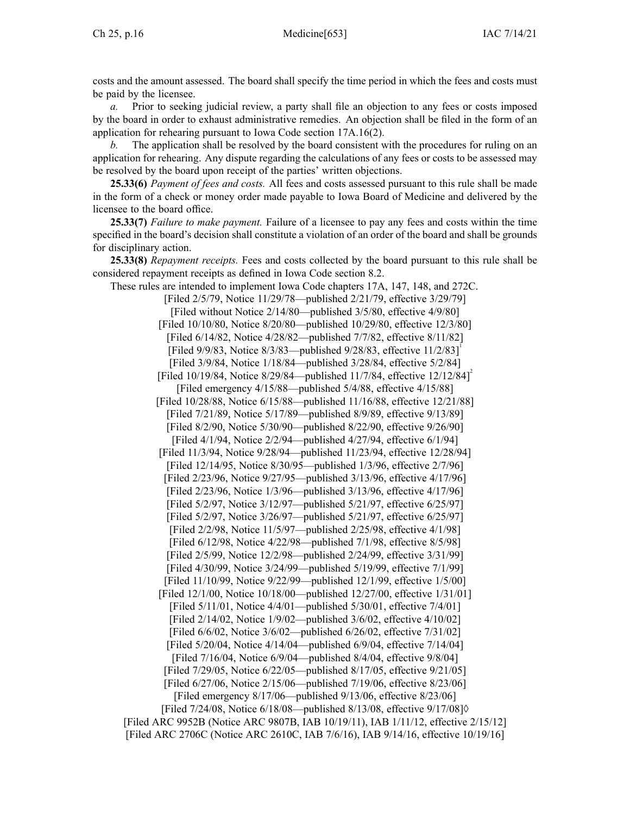costs and the amount assessed. The board shall specify the time period in which the fees and costs must be paid by the licensee.

*a.* Prior to seeking judicial review, <sup>a</sup> party shall file an objection to any fees or costs imposed by the board in order to exhaust administrative remedies. An objection shall be filed in the form of an application for rehearing pursuan<sup>t</sup> to Iowa Code section [17A.16\(2\)](https://www.legis.iowa.gov/docs/ico/section/17A.16.pdf).

The application shall be resolved by the board consistent with the procedures for ruling on an application for rehearing. Any dispute regarding the calculations of any fees or costs to be assessed may be resolved by the board upon receipt of the parties' written objections.

**25.33(6)** *Payment of fees and costs.* All fees and costs assessed pursuan<sup>t</sup> to this rule shall be made in the form of <sup>a</sup> check or money order made payable to Iowa Board of Medicine and delivered by the licensee to the board office.

**25.33(7)** *Failure to make payment.* Failure of <sup>a</sup> licensee to pay any fees and costs within the time specified in the board's decision shall constitute <sup>a</sup> violation of an order of the board and shall be grounds for disciplinary action.

**25.33(8)** *Repayment receipts.* Fees and costs collected by the board pursuan<sup>t</sup> to this rule shall be considered repaymen<sup>t</sup> receipts as defined in Iowa Code section [8.2](https://www.legis.iowa.gov/docs/ico/section/8.2.pdf).

These rules are intended to implement Iowa Code chapters [17A](https://www.legis.iowa.gov/docs/ico/chapter/17A.pdf), [147](https://www.legis.iowa.gov/docs/ico/chapter/147.pdf), [148](https://www.legis.iowa.gov/docs/ico/chapter/148.pdf), and [272C](https://www.legis.iowa.gov/docs/ico/chapter/272C.pdf). [Filed 2/5/79, Notice 11/29/78—published 2/21/79, effective 3/29/79] [Filed without Notice 2/14/80—published 3/5/80, effective 4/9/80] [Filed 10/10/80, Notice 8/20/80—published 10/29/80, effective 12/3/80] [Filed 6/14/82, Notice 4/28/82—published 7/7/82, effective 8/11/82] [Filed 9/9/83, Notice 8/3/83—published 9/28/83, effective 11/2/83] [Filed 3/9/84, Notice 1/18/84—published 3/28/84, effective 5/2/84] [Filed 10/19/84, Notice 8/29/84—published 11/7/84, effective 12/12/84]<sup>2</sup> [Filed emergency 4/15/88—published 5/4/88, effective 4/15/88] [Filed 10/28/88, Notice 6/15/88—published 11/16/88, effective 12/21/88] [Filed 7/21/89, Notice 5/17/89—published 8/9/89, effective 9/13/89] [Filed 8/2/90, Notice 5/30/90—published 8/22/90, effective 9/26/90] [Filed 4/1/94, Notice 2/2/94—published 4/27/94, effective 6/1/94] [Filed 11/3/94, Notice 9/28/94—published 11/23/94, effective 12/28/94] [Filed 12/14/95, Notice 8/30/95—published 1/3/96, effective 2/7/96] [Filed 2/23/96, Notice 9/27/95—published 3/13/96, effective 4/17/96] [Filed 2/23/96, Notice 1/3/96—published 3/13/96, effective 4/17/96] [Filed 5/2/97, Notice 3/12/97—published 5/21/97, effective 6/25/97] [Filed 5/2/97, Notice 3/26/97—published 5/21/97, effective 6/25/97] [Filed 2/2/98, Notice 11/5/97—published 2/25/98, effective 4/1/98] [Filed 6/12/98, Notice 4/22/98—published 7/1/98, effective 8/5/98] [Filed 2/5/99, Notice 12/2/98—published 2/24/99, effective 3/31/99] [Filed 4/30/99, Notice 3/24/99—published 5/19/99, effective 7/1/99] [Filed 11/10/99, Notice 9/22/99—published 12/1/99, effective 1/5/00] [Filed 12/1/00, Notice 10/18/00—published 12/27/00, effective 1/31/01] [Filed 5/11/01, Notice 4/4/01—published 5/30/01, effective 7/4/01] [Filed 2/14/02, Notice 1/9/02—published 3/6/02, effective 4/10/02] [Filed 6/6/02, Notice 3/6/02—published 6/26/02, effective 7/31/02] [Filed 5/20/04, Notice 4/14/04—published 6/9/04, effective 7/14/04] [Filed 7/16/04, Notice 6/9/04—published 8/4/04, effective 9/8/04] [Filed 7/29/05, Notice 6/22/05—published 8/17/05, effective 9/21/05] [Filed 6/27/06, Notice 2/15/06—published 7/19/06, effective 8/23/06] [Filed emergency 8/17/06—published 9/13/06, effective 8/23/06] [Filed 7/24/08, Notice 6/18/08—published 8/13/08, effective 9/17/08]◊ [Filed ARC [9952B](https://www.legis.iowa.gov/docs/aco/arc/9952B.pdf) ([Notice](https://www.legis.iowa.gov/docs/aco/arc/9807B.pdf) ARC 9807B, IAB 10/19/11), IAB 1/11/12, effective 2/15/12] [Filed ARC [2706C](https://www.legis.iowa.gov/docs/aco/arc/2706C.pdf) ([Notice](https://www.legis.iowa.gov/docs/aco/arc/2610C.pdf) ARC 2610C, IAB 7/6/16), IAB 9/14/16, effective 10/19/16]